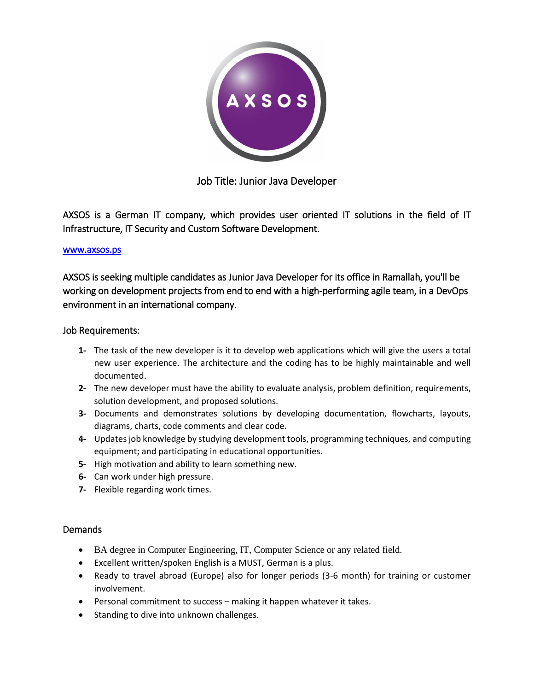

Job Title: Junior Java Developer

AXSOS is a German IT company, which provides user oriented IT solutions in the field of IT Infrastructure, IT Security and Custom Software Development.

#### www.axsos.ps

AXSOS is seeking multiple candidates as Junior Java Developer for its office in Ramallah, you'll be working on development projects from end to end with a high-performing agile team, in a DevOps environment in an international company.

# Job Requirements:

- **1-** The task of the new developer is it to develop web applications which will give the users a total new user experience. The architecture and the coding has to be highly maintainable and well documented.
- **2-** The new developer must have the ability to evaluate analysis, problem definition, requirements, solution development, and proposed solutions.
- **3-** Documents and demonstrates solutions by developing documentation, flowcharts, layouts, diagrams, charts, code comments and clear code.
- **4-** Updates job knowledge by studying development tools, programming techniques, and computing equipment; and participating in educational opportunities.
- **5-** High motivation and ability to learn something new.
- **6-** Can work under high pressure.
- **7-** Flexible regarding work times.

# Demands

- BA degree in Computer Engineering, IT, Computer Science or any related field.
- Excellent written/spoken English is a MUST, German is a plus.
- Ready to travel abroad (Europe) also for longer periods (3-6 month) for training or customer involvement.
- Personal commitment to success making it happen whatever it takes.
- Standing to dive into unknown challenges.